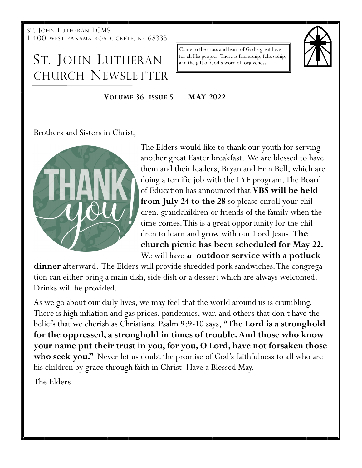ST. JOHN LUTHERAN LCMS 11400 WEST PANAMA ROAD, CRETE, NE 68333

# ST. JOHN LUTHERAN CHURCH NEWSLETTER

Come to the cross and learn of God's great love for all His people. There is friendship, fellowship, and the gift of God's word of forgiveness.



#### **VOLUME 36 ISSUE 5 MAY 2022**

Brothers and Sisters in Christ,



The Elders would like to thank our youth for serving another great Easter breakfast. We are blessed to have them and their leaders, Bryan and Erin Bell, which are doing a terrific job with the LYF program. The Board of Education has announced that **VBS will be held from July 24 to the 28** so please enroll your children, grandchildren or friends of the family when the time comes. This is a great opportunity for the children to learn and grow with our Lord Jesus. **The church picnic has been scheduled for May 22.**  We will have an **outdoor service with a potluck** 

**dinner** afterward. The Elders will provide shredded pork sandwiches. The congregation can either bring a main dish, side dish or a dessert which are always welcomed. Drinks will be provided.

As we go about our daily lives, we may feel that the world around us is crumbling. There is high inflation and gas prices, pandemics, war, and others that don't have the beliefs that we cherish as Christians. Psalm 9:9-10 says, **"The Lord is a stronghold for the oppressed, a stronghold in times of trouble. And those who know your name put their trust in you, for you, O Lord, have not forsaken those**  who seek you." Never let us doubt the promise of God's faithfulness to all who are his children by grace through faith in Christ. Have a Blessed May.

The Elders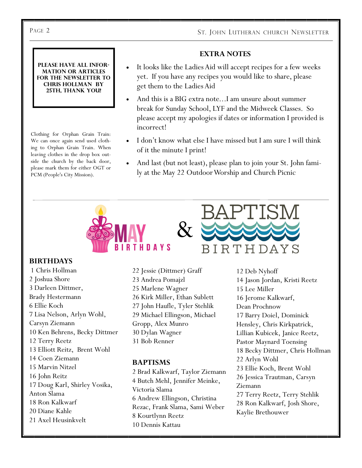#### **EXTRA NOTES**

- It looks like the Ladies Aid will accept recipes for a few weeks yet. If you have any recipes you would like to share, please get them to the Ladies Aid
- And this is a BIG extra note...I am unsure about summer break for Sunday School, LYF and the Midweek Classes. So please accept my apologies if dates or information I provided is incorrect!
- I don't know what else I have missed but I am sure I will think of it the minute I print!
- And last (but not least), please plan to join your St. John family at the May 22 Outdoor Worship and Church Picnic



#### **BIRTHDAYS**

1 Chris Hollman 2 Joshua Shore 3 Darleen Dittmer, Brady Hestermann 6 Ellie Koch 7 Lisa Nelson, Arlyn Wohl, Carsyn Ziemann 10 Ken Behrens, Becky Dittmer 12 Terry Reetz 13 Elliott Reitz, Brent Wohl 14 Coen Ziemann 15 Marvin Nitzel 16 John Reitz 17 Doug Karl, Shirley Vosika, Anton Slama 18 Ron Kalkwarf 20 Diane Kahle 21 Axel Heusinkvelt

22 Jessie (Dittmer) Graff 23 Andrea Pomajzl 25 Marlene Wagner 26 Kirk Miller, Ethan Sublett 27 John Haufle, Tyler Stehlik 29 Michael Ellingson, Michael Gropp, Alex Munro 30 Dylan Wagner 31 Bob Renner

#### **BAPTISMS**

2 Brad Kalkwarf, Taylor Ziemann 4 Butch Mehl, Jennifer Meinke, Victoria Slama 6 Andrew Ellingson, Christina Rezac, Frank Slama, Sami Weber 8 Kourtlynn Reetz 10 Dennis Kattau

12 Deb Nyhoff 14 Jason Jordan, Kristi Reetz 15 Lee Miller 16 Jerome Kalkwarf, Dean Prochnow 17 Barry Doiel, Dominick Hensley, Chris Kirkpatrick, Lillian Kubicek, Janice Reetz, Pastor Maynard Toensing 18 Becky Dittmer, Chris Hollman 22 Arlyn Wohl 23 Ellie Koch, Brent Wohl 26 Jessica Trautman, Carsyn Ziemann 27 Terry Reetz, Terry Stehlik 28 Ron Kalkwarf, Josh Shore, Kaylie Brethouwer

#### **Please have all information or articles for the newsletter to Chris Hollman by 25th, thank you!**

Clothing for Orphan Grain Train: We can once again send used clothing to Orphan Grain Train. When leaving clothes in the drop box outside the church by the back door, please mark them for either OGT or PCM (People's City Mission).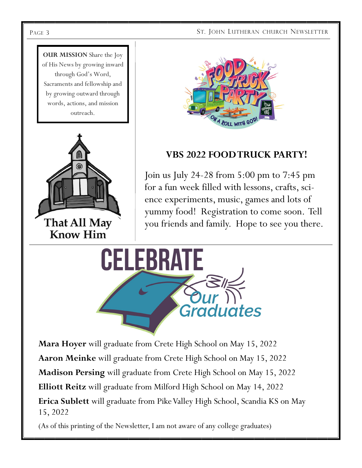#### PAGE 3 ST. JOHN LUTHERAN CHURCH NEWSLETTER







## **VBS 2022 FOOD TRUCK PARTY!**

Join us July 24-28 from 5:00 pm to 7:45 pm for a fun week filled with lessons, crafts, science experiments, music, games and lots of yummy food! Registration to come soon. Tell you friends and family. Hope to see you there.



**Mara Hoyer** will graduate from Crete High School on May 15, 2022 **Aaron Meinke** will graduate from Crete High School on May 15, 2022 **Madison Persing** will graduate from Crete High School on May 15, 2022 **Elliott Reitz** will graduate from Milford High School on May 14, 2022 **Erica Sublett** will graduate from Pike Valley High School, Scandia KS on May 15, 2022

(As of this printing of the Newsletter, I am not aware of any college graduates)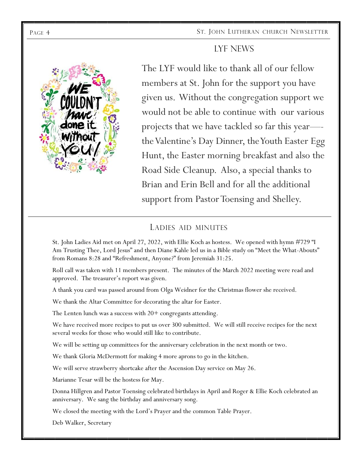

The LYF would like to thank all of our fellow members at St. John for the support you have given us. Without the congregation support we would not be able to continue with our various projects that we have tackled so far this year— the Valentine's Day Dinner, the Youth Easter Egg Hunt, the Easter morning breakfast and also the Road Side Cleanup. Also, a special thanks to Brian and Erin Bell and for all the additional support from Pastor Toensing and Shelley.

LYF NEWS

### LADIES AID MINUTES

St. John Ladies Aid met on April 27, 2022, with Ellie Koch as hostess. We opened with hymn #729 "I Am Trusting Thee, Lord Jesus" and then Diane Kahle led us in a Bible study on "Meet the What-Abouts" from Romans 8:28 and "Refreshment, Anyone?" from Jeremiah 31:25.

Roll call was taken with 11 members present. The minutes of the March 2022 meeting were read and approved. The treasurer's report was given.

A thank you card was passed around from Olga Weidner for the Christmas flower she received.

We thank the Altar Committee for decorating the altar for Easter.

The Lenten lunch was a success with  $20+$  congregants attending.

We have received more recipes to put us over 300 submitted. We will still receive recipes for the next several weeks for those who would still like to contribute.

We will be setting up committees for the anniversary celebration in the next month or two.

We thank Gloria McDermott for making 4 more aprons to go in the kitchen.

We will serve strawberry shortcake after the Ascension Day service on May 26.

Marianne Tesar will be the hostess for May.

Donna Hillgren and Pastor Toensing celebrated birthdays in April and Roger & Ellie Koch celebrated an anniversary. We sang the birthday and anniversary song.

We closed the meeting with the Lord's Prayer and the common Table Prayer.

Deb Walker, Secretary